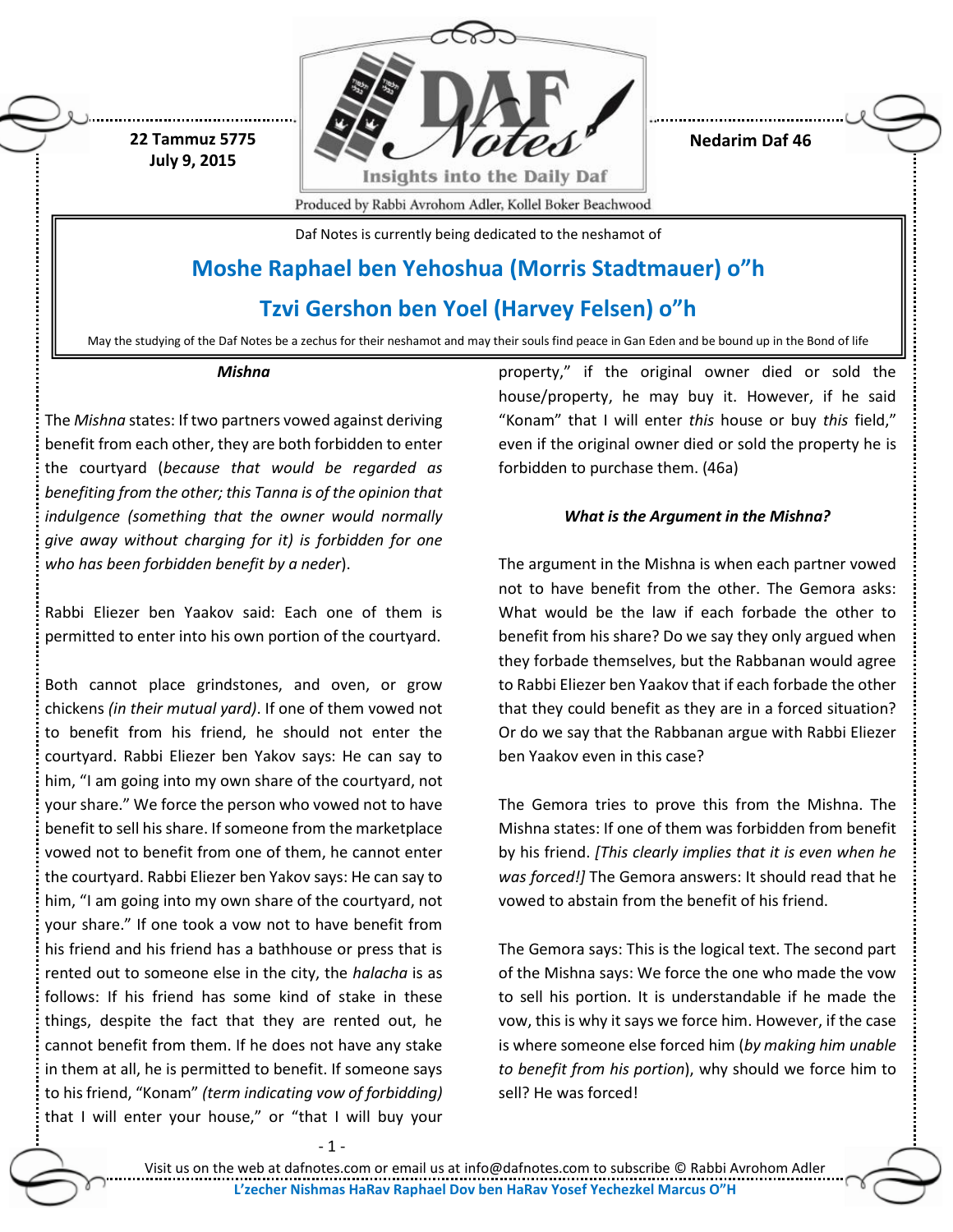

**Nedarim Daf 46**

Produced by Rabbi Avrohom Adler, Kollel Boker Beachwood

Daf Notes is currently being dedicated to the neshamot of

# **Moshe Raphael ben Yehoshua (Morris Stadtmauer) o"h**

# **Tzvi Gershon ben Yoel (Harvey Felsen) o"h**

May the studying of the Daf Notes be a zechus for their neshamot and may their souls find peace in Gan Eden and be bound up in the Bond of life

#### *Mishna*

**22 Tammuz 5775 July 9, 2015**

The *Mishna* states: If two partners vowed against deriving benefit from each other, they are both forbidden to enter the courtyard (*because that would be regarded as benefiting from the other; this Tanna is of the opinion that indulgence (something that the owner would normally give away without charging for it) is forbidden for one who has been forbidden benefit by a neder*).

Rabbi Eliezer ben Yaakov said: Each one of them is permitted to enter into his own portion of the courtyard.

Both cannot place grindstones, and oven, or grow chickens *(in their mutual yard)*. If one of them vowed not to benefit from his friend, he should not enter the courtyard. Rabbi Eliezer ben Yakov says: He can say to him, "I am going into my own share of the courtyard, not your share." We force the person who vowed not to have benefit to sell his share. If someone from the marketplace vowed not to benefit from one of them, he cannot enter the courtyard. Rabbi Eliezer ben Yakov says: He can say to him, "I am going into my own share of the courtyard, not your share." If one took a vow not to have benefit from his friend and his friend has a bathhouse or press that is rented out to someone else in the city, the *halacha* is as follows: If his friend has some kind of stake in these things, despite the fact that they are rented out, he cannot benefit from them. If he does not have any stake in them at all, he is permitted to benefit. If someone says to his friend, "Konam" *(term indicating vow of forbidding)* that I will enter your house," or "that I will buy your

- 1 -

property," if the original owner died or sold the house/property, he may buy it. However, if he said "Konam" that I will enter *this* house or buy *this* field," even if the original owner died or sold the property he is forbidden to purchase them. (46a)

## *What is the Argument in the Mishna?*

The argument in the Mishna is when each partner vowed not to have benefit from the other. The Gemora asks: What would be the law if each forbade the other to benefit from his share? Do we say they only argued when they forbade themselves, but the Rabbanan would agree to Rabbi Eliezer ben Yaakov that if each forbade the other that they could benefit as they are in a forced situation? Or do we say that the Rabbanan argue with Rabbi Eliezer ben Yaakov even in this case?

The Gemora tries to prove this from the Mishna. The Mishna states: If one of them was forbidden from benefit by his friend. *[This clearly implies that it is even when he was forced!]* The Gemora answers: It should read that he vowed to abstain from the benefit of his friend.

The Gemora says: This is the logical text. The second part of the Mishna says: We force the one who made the vow to sell his portion. It is understandable if he made the vow, this is why it says we force him. However, if the case is where someone else forced him (*by making him unable to benefit from his portion*), why should we force him to sell? He was forced!